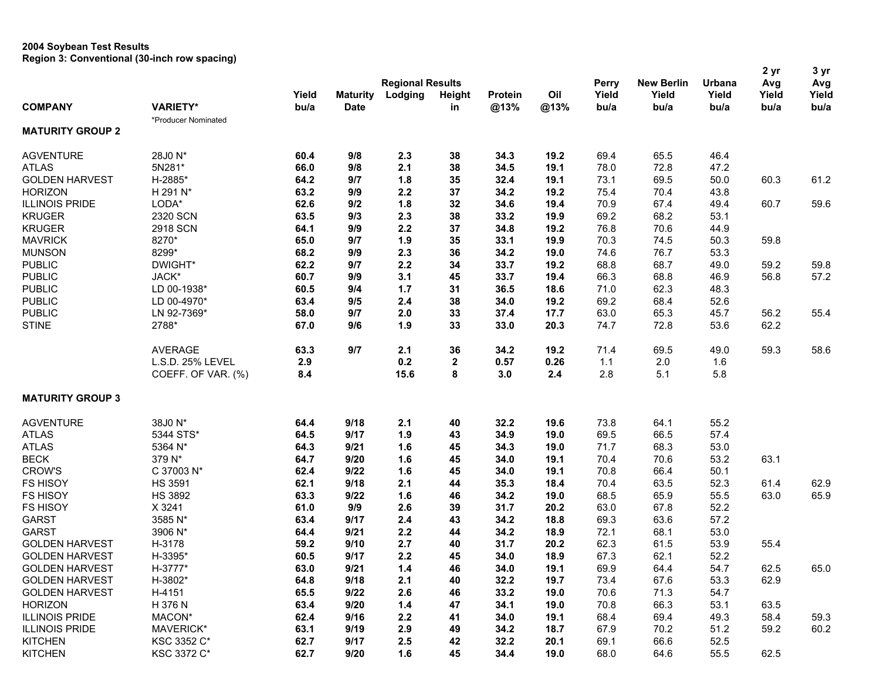## **2004 Soybean Test Results Region 3: Conventional (30-inch row spacing)**

|                         |                     |       |                 |                         |               |                |      |              |                   |        | 2 yr  | 3 yr  |
|-------------------------|---------------------|-------|-----------------|-------------------------|---------------|----------------|------|--------------|-------------------|--------|-------|-------|
|                         |                     |       |                 | <b>Regional Results</b> |               |                |      | <b>Perry</b> | <b>New Berlin</b> | Urbana | Avg   | Avg   |
|                         |                     | Yield | <b>Maturity</b> | Lodging                 | <b>Height</b> | <b>Protein</b> | Oil  | Yield        | Yield             | Yield  | Yield | Yield |
| <b>COMPANY</b>          | <b>VARIETY*</b>     | bu/a  | <b>Date</b>     |                         | in            | @13%           | @13% | bu/a         | bu/a              | bu/a   | bu/a  | bu/a  |
|                         | *Producer Nominated |       |                 |                         |               |                |      |              |                   |        |       |       |
| <b>MATURITY GROUP 2</b> |                     |       |                 |                         |               |                |      |              |                   |        |       |       |
| <b>AGVENTURE</b>        | 28J0 N*             | 60.4  | 9/8             | 2.3                     | 38            | 34.3           | 19.2 | 69.4         | 65.5              | 46.4   |       |       |
| <b>ATLAS</b>            | 5N281*              | 66.0  | 9/8             | 2.1                     | 38            | 34.5           | 19.1 | 78.0         | 72.8              | 47.2   |       |       |
| <b>GOLDEN HARVEST</b>   | H-2885*             | 64.2  | 9/7             | 1.8                     | 35            | 32.4           | 19.1 | 73.1         | 69.5              | 50.0   | 60.3  | 61.2  |
| <b>HORIZON</b>          | H 291 N*            | 63.2  | 9/9             | 2.2                     | 37            | 34.2           | 19.2 | 75.4         | 70.4              | 43.8   |       |       |
| <b>ILLINOIS PRIDE</b>   | LODA*               | 62.6  | 9/2             | 1.8                     | 32            | 34.6           | 19.4 | 70.9         | 67.4              | 49.4   | 60.7  | 59.6  |
| <b>KRUGER</b>           | 2320 SCN            | 63.5  | 9/3             | 2.3                     | 38            | 33.2           | 19.9 | 69.2         | 68.2              | 53.1   |       |       |
| <b>KRUGER</b>           | 2918 SCN            | 64.1  | 9/9             | 2.2                     | 37            | 34.8           | 19.2 | 76.8         | 70.6              | 44.9   |       |       |
| <b>MAVRICK</b>          | 8270*               | 65.0  | 9/7             | 1.9                     | 35            | 33.1           | 19.9 | 70.3         | 74.5              | 50.3   | 59.8  |       |
| <b>MUNSON</b>           | 8299*               | 68.2  | 9/9             | 2.3                     | 36            | 34.2           | 19.0 | 74.6         | 76.7              | 53.3   |       |       |
| <b>PUBLIC</b>           | DWIGHT*             | 62.2  | 9/7             | 2.2                     | 34            | 33.7           | 19.2 | 68.8         | 68.7              | 49.0   | 59.2  | 59.8  |
| <b>PUBLIC</b>           | JACK*               | 60.7  | 9/9             | 3.1                     | 45            | 33.7           | 19.4 | 66.3         | 68.8              | 46.9   | 56.8  | 57.2  |
| <b>PUBLIC</b>           | LD 00-1938*         | 60.5  | 9/4             | $1.7$                   | 31            | 36.5           | 18.6 | 71.0         | 62.3              | 48.3   |       |       |
| <b>PUBLIC</b>           | LD 00-4970*         | 63.4  | 9/5             | 2.4                     | 38            | 34.0           | 19.2 | 69.2         | 68.4              | 52.6   |       |       |
| <b>PUBLIC</b>           | LN 92-7369*         | 58.0  | 9/7             | 2.0                     | 33            | 37.4           | 17.7 | 63.0         | 65.3              | 45.7   | 56.2  | 55.4  |
| <b>STINE</b>            | 2788*               | 67.0  | 9/6             | 1.9                     | 33            | 33.0           | 20.3 | 74.7         | 72.8              | 53.6   | 62.2  |       |
|                         |                     |       |                 |                         |               |                |      |              |                   |        |       |       |
|                         | <b>AVERAGE</b>      | 63.3  | 9/7             | 2.1                     | 36            | 34.2           | 19.2 | 71.4         | 69.5              | 49.0   | 59.3  | 58.6  |
|                         | L.S.D. 25% LEVEL    | 2.9   |                 | 0.2                     | 2             | 0.57           | 0.26 | 1.1          | 2.0               | 1.6    |       |       |
|                         | COEFF. OF VAR. (%)  | 8.4   |                 | 15.6                    | 8             | 3.0            | 2.4  | 2.8          | 5.1               | 5.8    |       |       |
| <b>MATURITY GROUP 3</b> |                     |       |                 |                         |               |                |      |              |                   |        |       |       |
| <b>AGVENTURE</b>        | 38J0 N*             | 64.4  | 9/18            | 2.1                     | 40            | 32.2           | 19.6 | 73.8         | 64.1              | 55.2   |       |       |
| <b>ATLAS</b>            | 5344 STS*           | 64.5  | 9/17            | 1.9                     | 43            | 34.9           | 19.0 | 69.5         | 66.5              | 57.4   |       |       |
| <b>ATLAS</b>            | 5364 N*             | 64.3  | 9/21            | 1.6                     | 45            | 34.3           | 19.0 | 71.7         | 68.3              | 53.0   |       |       |
| <b>BECK</b>             | 379 N*              | 64.7  | 9/20            | 1.6                     | 45            | 34.0           | 19.1 | 70.4         | 70.6              | 53.2   | 63.1  |       |
| <b>CROW'S</b>           | C 37003 N*          | 62.4  | 9/22            | 1.6                     | 45            | 34.0           | 19.1 | 70.8         | 66.4              | 50.1   |       |       |
| FS HISOY                | <b>HS 3591</b>      | 62.1  | 9/18            | 2.1                     | 44            | 35.3           | 18.4 | 70.4         | 63.5              | 52.3   | 61.4  | 62.9  |
| <b>FS HISOY</b>         | <b>HS 3892</b>      | 63.3  | 9/22            | 1.6                     | 46            | 34.2           | 19.0 | 68.5         | 65.9              | 55.5   | 63.0  | 65.9  |
| <b>FS HISOY</b>         | X 3241              | 61.0  | 9/9             | 2.6                     | 39            | 31.7           | 20.2 | 63.0         | 67.8              | 52.2   |       |       |
| <b>GARST</b>            | 3585 N*             | 63.4  | 9/17            | 2.4                     | 43            | 34.2           | 18.8 | 69.3         | 63.6              | 57.2   |       |       |
| <b>GARST</b>            | 3906 N*             | 64.4  | 9/21            | 2.2                     | 44            | 34.2           | 18.9 | 72.1         | 68.1              | 53.0   |       |       |
| <b>GOLDEN HARVEST</b>   | H-3178              | 59.2  | 9/10            | 2.7                     | 40            | 31.7           | 20.2 | 62.3         | 61.5              | 53.9   | 55.4  |       |
| <b>GOLDEN HARVEST</b>   | H-3395*             | 60.5  | 9/17            | 2.2                     | 45            | 34.0           | 18.9 | 67.3         | 62.1              | 52.2   |       |       |
| <b>GOLDEN HARVEST</b>   | H-3777*             | 63.0  | 9/21            | $1.4$                   | 46            | 34.0           | 19.1 | 69.9         | 64.4              | 54.7   | 62.5  | 65.0  |
| <b>GOLDEN HARVEST</b>   | H-3802*             | 64.8  | 9/18            | 2.1                     | 40            | 32.2           | 19.7 | 73.4         | 67.6              | 53.3   | 62.9  |       |
| <b>GOLDEN HARVEST</b>   | H-4151              | 65.5  | 9/22            | 2.6                     | 46            | 33.2           | 19.0 | 70.6         | 71.3              | 54.7   |       |       |
| <b>HORIZON</b>          | H 376 N             | 63.4  | 9/20            | 1.4                     | 47            | 34.1           | 19.0 | 70.8         | 66.3              | 53.1   | 63.5  |       |
| <b>ILLINOIS PRIDE</b>   | MACON*              | 62.4  | 9/16            | 2.2                     | 41            | 34.0           | 19.1 | 68.4         | 69.4              | 49.3   | 58.4  | 59.3  |
| <b>ILLINOIS PRIDE</b>   | MAVERICK*           | 63.1  | 9/19            | 2.9                     | 49            | 34.2           |      | 67.9         | 70.2              | 51.2   | 59.2  | 60.2  |
|                         |                     |       |                 |                         |               |                | 18.7 |              |                   |        |       |       |
| <b>KITCHEN</b>          | KSC 3352 C*         | 62.7  | 9/17            | 2.5                     | 42            | 32.2           | 20.1 | 69.1         | 66.6              | 52.5   |       |       |
| <b>KITCHEN</b>          | KSC 3372 C*         | 62.7  | 9/20            | 1.6                     | 45            | 34.4           | 19.0 | 68.0         | 64.6              | 55.5   | 62.5  |       |